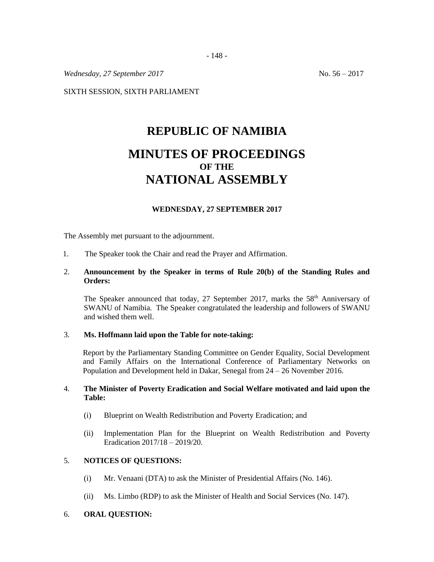*Wednesday,* 27 *September* 2017 **No. 56** – 2017

SIXTH SESSION, SIXTH PARLIAMENT

# **REPUBLIC OF NAMIBIA**

# **MINUTES OF PROCEEDINGS OF THE NATIONAL ASSEMBLY**

# **WEDNESDAY, 27 SEPTEMBER 2017**

The Assembly met pursuant to the adjournment.

1. The Speaker took the Chair and read the Prayer and Affirmation.

#### 2. **Announcement by the Speaker in terms of Rule 20(b) of the Standing Rules and Orders:**

The Speaker announced that today, 27 September 2017, marks the  $58<sup>th</sup>$  Anniversary of SWANU of Namibia. The Speaker congratulated the leadership and followers of SWANU and wished them well.

#### 3. **Ms. Hoffmann laid upon the Table for note-taking:**

Report by the Parliamentary Standing Committee on Gender Equality, Social Development and Family Affairs on the International Conference of Parliamentary Networks on Population and Development held in Dakar, Senegal from 24 – 26 November 2016.

#### 4. **The Minister of Poverty Eradication and Social Welfare motivated and laid upon the Table:**

- (i) Blueprint on Wealth Redistribution and Poverty Eradication; and
- (ii) Implementation Plan for the Blueprint on Wealth Redistribution and Poverty Eradication 2017/18 – 2019/20.

# 5. **NOTICES OF QUESTIONS:**

- (i) Mr. Venaani (DTA) to ask the Minister of Presidential Affairs (No. 146).
- (ii) Ms. Limbo (RDP) to ask the Minister of Health and Social Services (No. 147).

#### 6. **ORAL QUESTION:**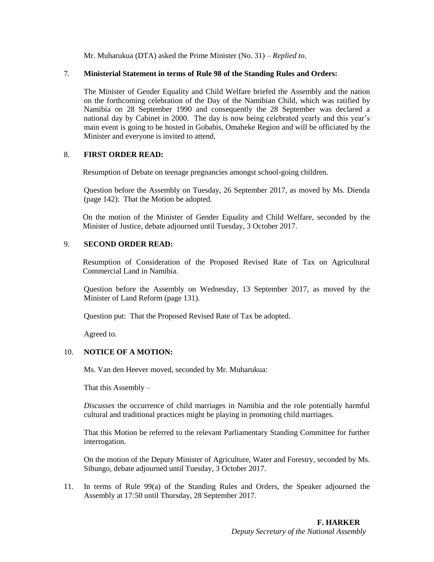Mr. Muharukua (DTA) asked the Prime Minister (No. 31) – *Replied to*.

#### 7. **Ministerial Statement in terms of Rule 98 of the Standing Rules and Orders:**

The Minister of Gender Equality and Child Welfare briefed the Assembly and the nation on the forthcoming celebration of the Day of the Namibian Child, which was ratified by Namibia on 28 September 1990 and consequently the 28 September was declared a national day by Cabinet in 2000. The day is now being celebrated yearly and this year's main event is going to be hosted in Gobabis, Omaheke Region and will be officiated by the Minister and everyone is invited to attend.

### 8. **FIRST ORDER READ:**

Resumption of Debate on teenage pregnancies amongst school-going children.

Question before the Assembly on Tuesday, 26 September 2017, as moved by Ms. Dienda (page 142): That the Motion be adopted.

On the motion of the Minister of Gender Equality and Child Welfare, seconded by the Minister of Justice, debate adjourned until Tuesday, 3 October 2017.

#### 9. **SECOND ORDER READ:**

Resumption of Consideration of the Proposed Revised Rate of Tax on Agricultural Commercial Land in Namibia.

Question before the Assembly on Wednesday, 13 September 2017, as moved by the Minister of Land Reform (page 131).

Question put: That the Proposed Revised Rate of Tax be adopted.

Agreed to.

### 10. **NOTICE OF A MOTION:**

Ms. Van den Heever moved, seconded by Mr. Muharukua:

That this Assembly  $-$ 

*Discusses* the occurrence of child marriages in Namibia and the role potentially harmful cultural and traditional practices might be playing in promoting child marriages.

That this Motion be referred to the relevant Parliamentary Standing Committee for further interrogation.

On the motion of the Deputy Minister of Agriculture, Water and Forestry, seconded by Ms. Sibungo, debate adjourned until Tuesday, 3 October 2017.

11. In terms of Rule 99(a) of the Standing Rules and Orders, the Speaker adjourned the Assembly at 17:50 until Thursday, 28 September 2017.